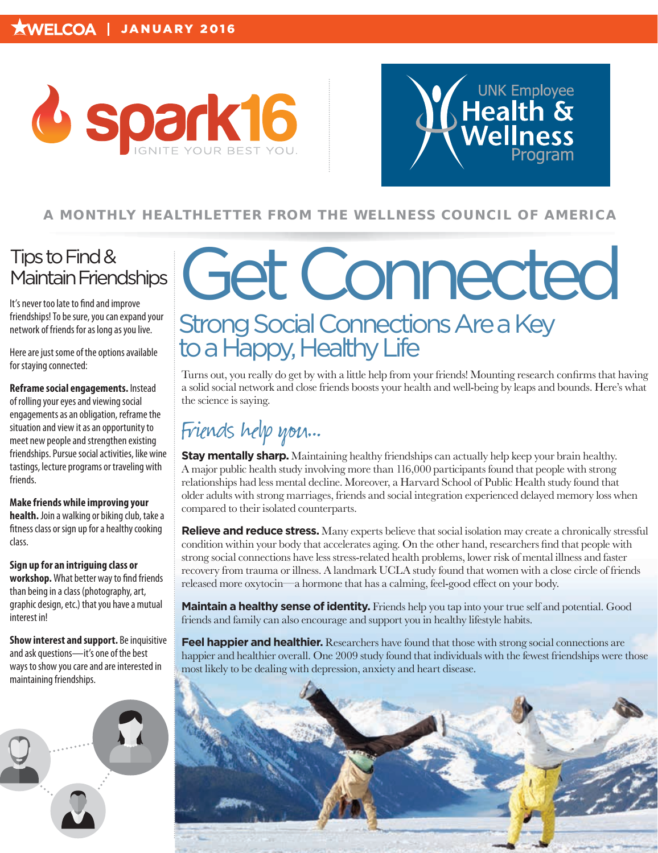



#### **A MONTHLY HEALTHLET TER FROM THE WELLNESS COUNCIL OF AMERICA**

### Tips to Find & Maintain Friendships

It's never too late to find and improve friendships! To be sure, you can expand your network of friends for as long as you live.

Here are just some of the options available for staying connected:

**Reframe social engagements.** Instead of rolling your eyes and viewing social engagements as an obligation, reframe the situation and view it as an opportunity to meet new people and strengthen existing friendships. Pursue social activities, like wine tastings, lecture programs or traveling with friends.

**Make friends while improving your health.** Join a walking or biking club, take a fitness class or sign up for a healthy cooking class.

**Sign up for an intriguing class or workshop.** What better way to find friends than being in a class (photography, art, graphic design, etc.) that you have a mutual interest in!

**Show interest and support.** Be inquisitive and ask questions—it's one of the best ways to show you care and are interested in maintaining friendships.



## Get Connected Strong Social Connections Are a Key to a Happy, Healthy Life

Turns out, you really do get by with a little help from your friends! Mounting research confirms that having a solid social network and close friends boosts your health and well-being by leaps and bounds. Here's what the science is saying.

## Friends help you...

**Stay mentally sharp.** Maintaining healthy friendships can actually help keep your brain healthy. A major public health study involving more than 116,000 participants found that people with strong relationships had less mental decline. Moreover, a Harvard School of Public Health study found that older adults with strong marriages, friends and social integration experienced delayed memory loss when compared to their isolated counterparts.

**Relieve and reduce stress.** Many experts believe that social isolation may create a chronically stressful condition within your body that accelerates aging. On the other hand, researchers find that people with strong social connections have less stress-related health problems, lower risk of mental illness and faster recovery from trauma or illness. A landmark UCLA study found that women with a close circle of friends released more oxytocin—a hormone that has a calming, feel-good effect on your body.

**Maintain a healthy sense of identity.** Friends help you tap into your true self and potential. Good friends and family can also encourage and support you in healthy lifestyle habits.

**Feel happier and healthier.** Researchers have found that those with strong social connections are happier and healthier overall. One 2009 study found that individuals with the fewest friendships were those most likely to be dealing with depression, anxiety and heart disease.

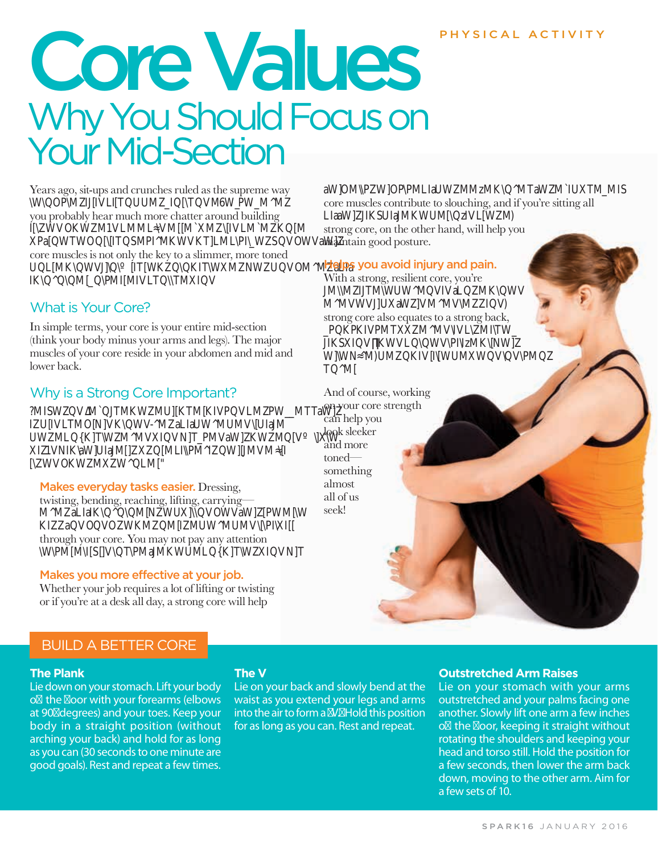#### PHYSICAL ACTIVITY

# Core Val Why You Should Focus on Your Mid-Section

Years ago, sit-ups and crunches ruled as the supreme way \W\IIIMIIMWWMM

you probably hear much more chatter around building IMKWMMMMMMMMKM aWTWTMIMKWKTMWWaW core muscles is not only the key to a slimmer, more toned MKWWKKITWMWMMaIa **IKMMINIFIMI** 

#### What is Your Core?

In simple terms, your core is your entire mid-section (think your body minus your arms and legs). The major muscles of your core reside in your abdomen and mid and lower back.

#### Why is a Strong Core Important?

?MISWWMJTMKWMUKTMKIVPVLMPWMTTaW IUVLTMONVKWV-MaLIaUWMUMWJIaJM UWMLKTWMMVXIVNTPMVaWKWMXW XIVNIKaWJIaJMXMLPMIWJMVM WVOKWMXWLM"

#### Makes everyday tasks easier. Dressing,

twisting, bending, reaching, lifting, carrying— MMaIaIKMWaWWMW KIWKMMIMWMM through your core. You may not pay any attention \WMMIMaMKWMKTWIT

#### Makes you more effective at your job.

Whether your job requires a lot of lifting or twisting or if you're at a desk all day, a strong core will help

#### aWMWIAWMMzMKMTaWMITMMI

core muscles contribute to slouching, and if you're sitting all LaaWKJaMKWM**EW**M strong core, on the other hand, will help you maintain good posture.

#### Helps you avoid injury and pain.

With a strong, resilient core, you're MMITMWWMaMKW MMWWMM strong core also equates to a strong back, KKMTMMMITW IKIKWMIzMKW WWMKIWMM TM  $\blacksquare$ 

And of course, working on your core strength can help you look sleeker and more toned something almost all of us seek!

#### **The Plank**

Lie down on your stomach. Lift your body o the oor with your forearms (elbows at 90° degrees) and your toes. Keep your body in a straight position (without arching your back) and hold for as long as you can (30 seconds to one minute are good goals). Rest and repeat a few times.

#### **The V**

Lie on your back and slowly bend at the waist as you extend your legs and arms into the air to form a V. Hold this position for as long as you can. Rest and repeat.

#### **Outstretched Arm Raises**

Lie on your stomach with your arms outstretched and your palms facing one another. Slowly lift one arm a few inches o the oor, keeping it straight without rotating the shoulders and keeping your head and torso still. Hold the position for a few seconds, then lower the arm back down, moving to the other arm. Aim for a few sets of 10.